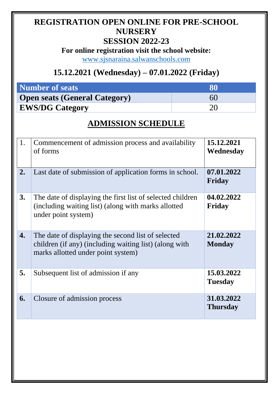## **REGISTRATION OPEN ONLINE FOR PRE-SCHOOL NURSERY**

#### **SESSION 2022-23**

**For online registration visit the school website:**

[www.sjsnaraina.salwanschools.com](http://www.sjsnaraina.salwanschools.com/)

### **15.12.2021 (Wednesday) – 07.01.2022 (Friday)**

| <b>Number of seats</b>               |    |  |
|--------------------------------------|----|--|
| <b>Open seats (General Category)</b> | 60 |  |
| <b>EWS/DG Category</b>               |    |  |

#### **ADMISSION SCHEDULE**

| 07.01.2022<br>Friday          |
|-------------------------------|
| 04.02.2022<br><b>Friday</b>   |
| 21.02.2022<br><b>Monday</b>   |
| 15.03.2022<br><b>Tuesday</b>  |
| 31.03.2022<br><b>Thursday</b> |
|                               |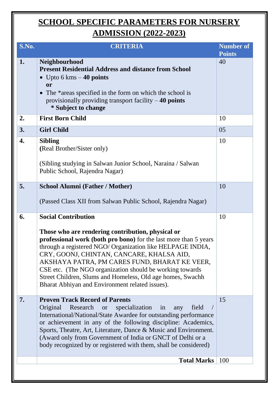# **SCHOOL SPECIFIC PARAMETERS FOR NURSERY ADMISSION (2022-2023)**

| S.No. | <b>CRITERIA</b>                                                                                                                                                                                                                                                                                                                                                                                                                                                                               | <b>Number of</b><br><b>Points</b> |
|-------|-----------------------------------------------------------------------------------------------------------------------------------------------------------------------------------------------------------------------------------------------------------------------------------------------------------------------------------------------------------------------------------------------------------------------------------------------------------------------------------------------|-----------------------------------|
| 1.    | <b>Neighbourhood</b><br><b>Present Residential Address and distance from School</b><br>• Upto 6 kms $-$ 40 points<br>or<br>The *areas specified in the form on which the school is<br>provisionally providing transport facility $-40$ points<br>* Subject to change                                                                                                                                                                                                                          | 40                                |
| 2.    | <b>First Born Child</b>                                                                                                                                                                                                                                                                                                                                                                                                                                                                       | 10                                |
| 3.    | <b>Girl Child</b>                                                                                                                                                                                                                                                                                                                                                                                                                                                                             | 05                                |
| 4.    | <b>Sibling</b><br>(Real Brother/Sister only)<br>(Sibling studying in Salwan Junior School, Naraina / Salwan<br>Public School, Rajendra Nagar)                                                                                                                                                                                                                                                                                                                                                 | 10                                |
| 5.    | <b>School Alumni (Father / Mother)</b>                                                                                                                                                                                                                                                                                                                                                                                                                                                        | 10                                |
|       | (Passed Class XII from Salwan Public School, Rajendra Nagar)                                                                                                                                                                                                                                                                                                                                                                                                                                  |                                   |
| 6.    | <b>Social Contribution</b><br>Those who are rendering contribution, physical or<br>professional work (both pro bono) for the last more than 5 years<br>through a registered NGO/ Organization like HELPAGE INDIA,<br>CRY, GOONJ, CHINTAN, CANCARE, KHALSA AID,<br>AKSHAYA PATRA, PM CARES FUND, BHARAT KE VEER,<br>CSE etc. (The NGO organization should be working towards)<br>Street Children, Slums and Homeless, Old age homes, Swachh<br>Bharat Abhiyan and Environment related issues). | 10                                |
| 7.    | <b>Proven Track Record of Parents</b><br>Research or<br>specialization in<br>Original<br>field<br>any<br>International/National/State Awardee for outstanding performance<br>or achievement in any of the following discipline: Academics,<br>Sports, Theatre, Art, Literature, Dance & Music and Environment.<br>(Award only from Government of India or GNCT of Delhi or a<br>body recognized by or registered with them, shall be considered)                                              | 15                                |
|       | <b>Total Marks</b>                                                                                                                                                                                                                                                                                                                                                                                                                                                                            | 100                               |